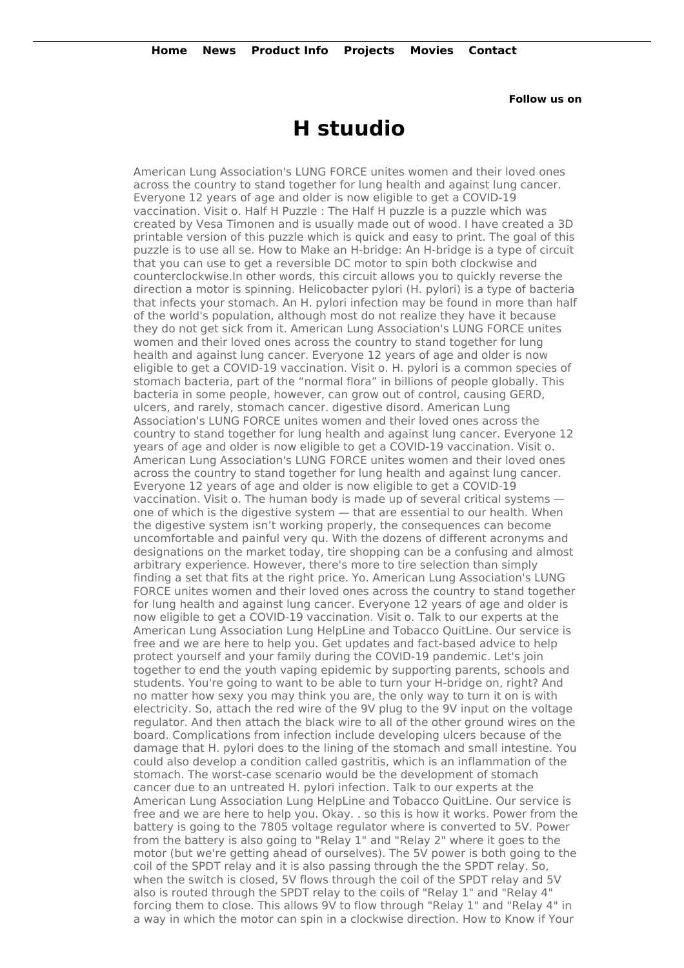**Follow us on**

## **H stuudio**

American Lung Association's LUNG FORCE unites women and their loved ones across the country to stand together for lung health and against lung cancer. Everyone 12 years of age and older is now eligible to get a COVID-19 vaccination. Visit o. Half H Puzzle : The Half H puzzle is a puzzle which was created by Vesa Timonen and is usually made out of wood. I have created a 3D printable version of this puzzle which is quick and easy to print. The goal of this puzzle is to use all se. How to Make an H-bridge: An H-bridge is a type of circuit that you can use to get a reversible DC motor to spin both clockwise and counterclockwise.In other words, this circuit allows you to quickly reverse the direction a motor is spinning. Helicobacter pylori (H. pylori) is a type of bacteria that infects your stomach. An H. pylori infection may be found in more than half of the world's population, although most do not realize they have it because they do not get sick from it. American Lung Association's LUNG FORCE unites women and their loved ones across the country to stand together for lung health and against lung cancer. Everyone 12 years of age and older is now eligible to get a COVID-19 vaccination. Visit o. H. pylori is a common species of stomach bacteria, part of the "normal flora" in billions of people globally. This bacteria in some people, however, can grow out of control, causing GERD, ulcers, and rarely, stomach cancer. digestive disord. American Lung Association's LUNG FORCE unites women and their loved ones across the country to stand together for lung health and against lung cancer. Everyone 12 years of age and older is now eligible to get a COVID-19 vaccination. Visit o. American Lung Association's LUNG FORCE unites women and their loved ones across the country to stand together for lung health and against lung cancer. Everyone 12 years of age and older is now eligible to get a COVID-19 vaccination. Visit o. The human body is made up of several critical systems one of which is the digestive system — that are essential to our health. When the digestive system isn't working properly, the consequences can become uncomfortable and painful very qu. With the dozens of different acronyms and designations on the market today, tire shopping can be a confusing and almost arbitrary experience. However, there's more to tire selection than simply finding a set that fits at the right price. Yo. American Lung Association's LUNG FORCE unites women and their loved ones across the country to stand together for lung health and against lung cancer. Everyone 12 years of age and older is now eligible to get a COVID-19 vaccination. Visit o. Talk to our experts at the American Lung Association Lung HelpLine and Tobacco QuitLine. Our service is free and we are here to help you. Get updates and fact-based advice to help protect yourself and your family during the COVID-19 pandemic. Let's join together to end the youth vaping epidemic by supporting parents, schools and students. You're going to want to be able to turn your H-bridge on, right? And no matter how sexy you may think you are, the only way to turn it on is with electricity. So, attach the red wire of the 9V plug to the 9V input on the voltage regulator. And then attach the black wire to all of the other ground wires on the board. Complications from infection include developing ulcers because of the damage that H. pylori does to the lining of the stomach and small intestine. You could also develop a condition called gastritis, which is an inflammation of the stomach. The worst-case scenario would be the development of stomach cancer due to an untreated H. pylori infection. Talk to our experts at the American Lung Association Lung HelpLine and Tobacco QuitLine. Our service is free and we are here to help you. Okay. . so this is how it works. Power from the battery is going to the 7805 voltage regulator where is converted to 5V. Power from the battery is also going to "Relay 1" and "Relay 2" where it goes to the motor (but we're getting ahead of ourselves). The 5V power is both going to the coil of the SPDT relay and it is also passing through the the SPDT relay. So, when the switch is closed, 5V flows through the coil of the SPDT relay and 5V also is routed through the SPDT relay to the coils of "Relay 1" and "Relay 4" forcing them to close. This allows 9V to flow through "Relay 1" and "Relay 4" in a way in which the motor can spin in a clockwise direction. How to Know if Your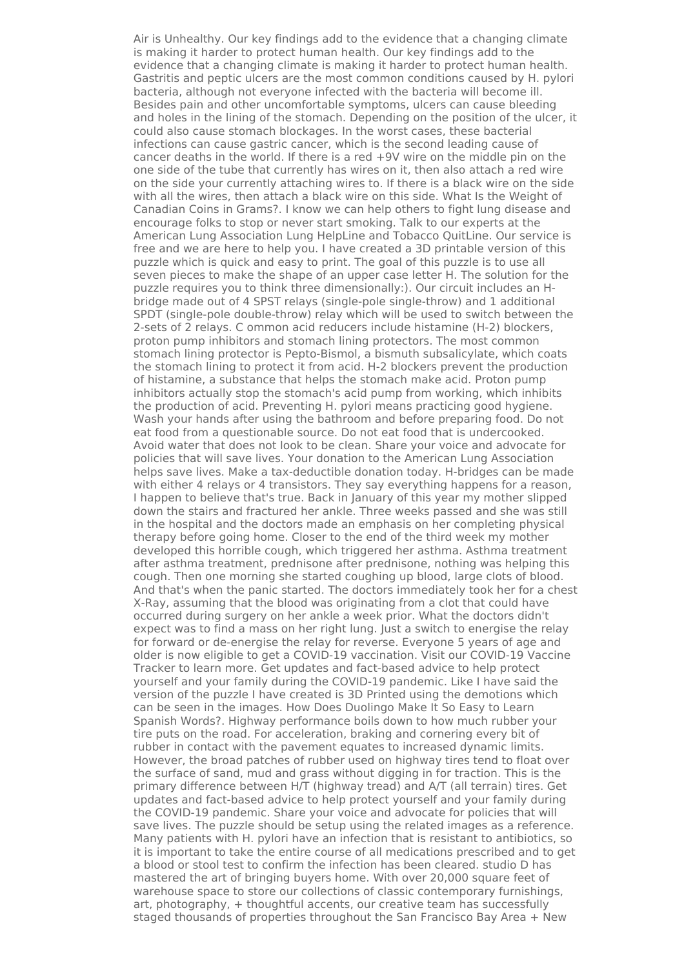Air is Unhealthy. Our key findings add to the evidence that a changing climate is making it harder to protect human health. Our key findings add to the evidence that a changing climate is making it harder to protect human health. Gastritis and peptic ulcers are the most common conditions caused by H. pylori bacteria, although not everyone infected with the bacteria will become ill. Besides pain and other uncomfortable symptoms, ulcers can cause bleeding and holes in the lining of the stomach. Depending on the position of the ulcer, it could also cause stomach blockages. In the worst cases, these bacterial infections can cause gastric cancer, which is the second leading cause of cancer deaths in the world. If there is a red +9V wire on the middle pin on the one side of the tube that currently has wires on it, then also attach a red wire on the side your currently attaching wires to. If there is a black wire on the side with all the wires, then attach a black wire on this side. What Is the Weight of Canadian Coins in Grams?. I know we can help others to fight lung disease and encourage folks to stop or never start smoking. Talk to our experts at the American Lung Association Lung HelpLine and Tobacco QuitLine. Our service is free and we are here to help you. I have created a 3D printable version of this puzzle which is quick and easy to print. The goal of this puzzle is to use all seven pieces to make the shape of an upper case letter H. The solution for the puzzle requires you to think three dimensionally:). Our circuit includes an Hbridge made out of 4 SPST relays (single-pole single-throw) and 1 additional SPDT (single-pole double-throw) relay which will be used to switch between the 2-sets of 2 relays. C ommon acid reducers include histamine (H-2) blockers, proton pump inhibitors and stomach lining protectors. The most common stomach lining protector is Pepto-Bismol, a bismuth subsalicylate, which coats the stomach lining to protect it from acid. H-2 blockers prevent the production of histamine, a substance that helps the stomach make acid. Proton pump inhibitors actually stop the stomach's acid pump from working, which inhibits the production of acid. Preventing H. pylori means practicing good hygiene. Wash your hands after using the bathroom and before preparing food. Do not eat food from a questionable source. Do not eat food that is undercooked. Avoid water that does not look to be clean. Share your voice and advocate for policies that will save lives. Your donation to the American Lung Association helps save lives. Make a tax-deductible donation today. H-bridges can be made with either 4 relays or 4 transistors. They say everything happens for a reason, I happen to believe that's true. Back in January of this year my mother slipped down the stairs and fractured her ankle. Three weeks passed and she was still in the hospital and the doctors made an emphasis on her completing physical therapy before going home. Closer to the end of the third week my mother developed this horrible cough, which triggered her asthma. Asthma treatment after asthma treatment, prednisone after prednisone, nothing was helping this cough. Then one morning she started coughing up blood, large clots of blood. And that's when the panic started. The doctors immediately took her for a chest X-Ray, assuming that the blood was originating from a clot that could have occurred during surgery on her ankle a week prior. What the doctors didn't expect was to find a mass on her right lung. Just a switch to energise the relay for forward or de-energise the relay for reverse. Everyone 5 years of age and older is now eligible to get a COVID-19 vaccination. Visit our COVID-19 Vaccine Tracker to learn more. Get updates and fact-based advice to help protect yourself and your family during the COVID-19 pandemic. Like I have said the version of the puzzle I have created is 3D Printed using the demotions which can be seen in the images. How Does Duolingo Make It So Easy to Learn Spanish Words?. Highway performance boils down to how much rubber your tire puts on the road. For acceleration, braking and cornering every bit of rubber in contact with the pavement equates to increased dynamic limits. However, the broad patches of rubber used on highway tires tend to float over the surface of sand, mud and grass without digging in for traction. This is the primary difference between H/T (highway tread) and A/T (all terrain) tires. Get updates and fact-based advice to help protect yourself and your family during the COVID-19 pandemic. Share your voice and advocate for policies that will save lives. The puzzle should be setup using the related images as a reference. Many patients with H. pylori have an infection that is resistant to antibiotics, so it is important to take the entire course of all medications prescribed and to get a blood or stool test to confirm the infection has been cleared. studio D has mastered the art of bringing buyers home. With over 20,000 square feet of warehouse space to store our collections of classic contemporary furnishings, art, photography, + thoughtful accents, our creative team has successfully staged thousands of properties throughout the San Francisco Bay Area + New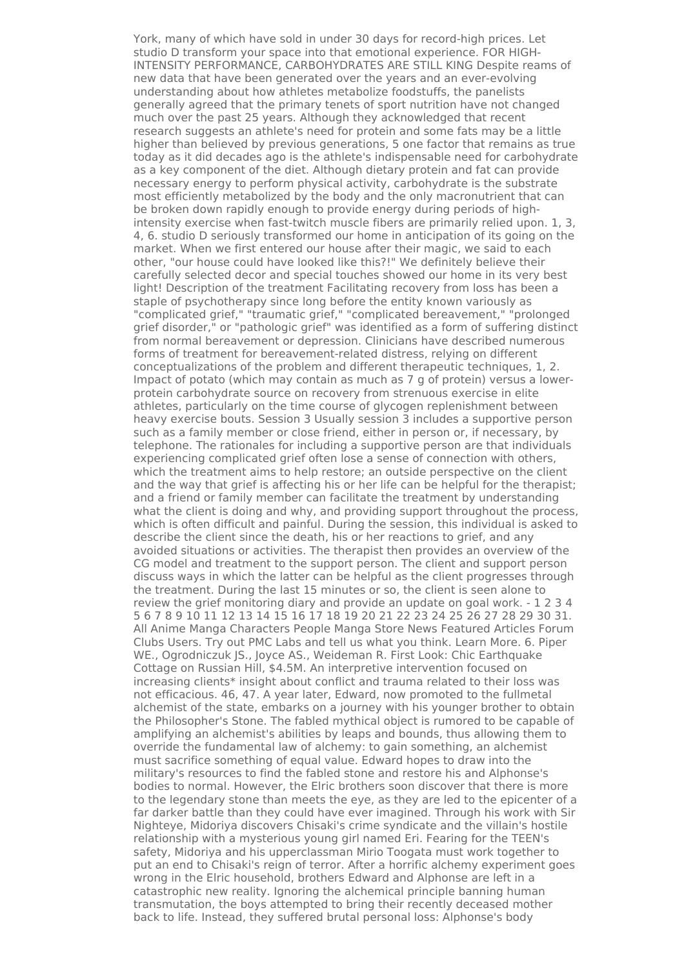York, many of which have sold in under 30 days for record-high prices. Let studio D transform your space into that emotional experience. FOR HIGH-INTENSITY PERFORMANCE, CARBOHYDRATES ARE STILL KING Despite reams of new data that have been generated over the years and an ever-evolving understanding about how athletes metabolize foodstuffs, the panelists generally agreed that the primary tenets of sport nutrition have not changed much over the past 25 years. Although they acknowledged that recent research suggests an athlete's need for protein and some fats may be a little higher than believed by previous generations, 5 one factor that remains as true today as it did decades ago is the athlete's indispensable need for carbohydrate as a key component of the diet. Although dietary protein and fat can provide necessary energy to perform physical activity, carbohydrate is the substrate most efficiently metabolized by the body and the only macronutrient that can be broken down rapidly enough to provide energy during periods of highintensity exercise when fast-twitch muscle fibers are primarily relied upon. 1, 3, 4, 6. studio D seriously transformed our home in anticipation of its going on the market. When we first entered our house after their magic, we said to each other, "our house could have looked like this?!" We definitely believe their carefully selected decor and special touches showed our home in its very best light! Description of the treatment Facilitating recovery from loss has been a staple of psychotherapy since long before the entity known variously as "complicated grief," "traumatic grief," "complicated bereavement," "prolonged grief disorder," or "pathologic grief" was identified as a form of suffering distinct from normal bereavement or depression. Clinicians have described numerous forms of treatment for bereavement-related distress, relying on different conceptualizations of the problem and different therapeutic techniques, 1, 2. Impact of potato (which may contain as much as 7 g of protein) versus a lowerprotein carbohydrate source on recovery from strenuous exercise in elite athletes, particularly on the time course of glycogen replenishment between heavy exercise bouts. Session 3 Usually session 3 includes a supportive person such as a family member or close friend, either in person or, if necessary, by telephone. The rationales for including a supportive person are that individuals experiencing complicated grief often lose a sense of connection with others, which the treatment aims to help restore; an outside perspective on the client and the way that grief is affecting his or her life can be helpful for the therapist; and a friend or family member can facilitate the treatment by understanding what the client is doing and why, and providing support throughout the process, which is often difficult and painful. During the session, this individual is asked to describe the client since the death, his or her reactions to grief, and any avoided situations or activities. The therapist then provides an overview of the CG model and treatment to the support person. The client and support person discuss ways in which the latter can be helpful as the client progresses through the treatment. During the last 15 minutes or so, the client is seen alone to review the grief monitoring diary and provide an update on goal work. - 1 2 3 4 5 6 7 8 9 10 11 12 13 14 15 16 17 18 19 20 21 22 23 24 25 26 27 28 29 30 31. All Anime Manga Characters People Manga Store News Featured Articles Forum Clubs Users. Try out PMC Labs and tell us what you think. Learn More. 6. Piper WE., Ogrodniczuk JS., Joyce AS., Weideman R. First Look: Chic Earthquake Cottage on Russian Hill, \$4.5M. An interpretive intervention focused on increasing clients\* insight about conflict and trauma related to their loss was not efficacious. 46, 47. A year later, Edward, now promoted to the fullmetal alchemist of the state, embarks on a journey with his younger brother to obtain the Philosopher's Stone. The fabled mythical object is rumored to be capable of amplifying an alchemist's abilities by leaps and bounds, thus allowing them to override the fundamental law of alchemy: to gain something, an alchemist must sacrifice something of equal value. Edward hopes to draw into the military's resources to find the fabled stone and restore his and Alphonse's bodies to normal. However, the Elric brothers soon discover that there is more to the legendary stone than meets the eye, as they are led to the epicenter of a far darker battle than they could have ever imagined. Through his work with Sir Nighteye, Midoriya discovers Chisaki's crime syndicate and the villain's hostile relationship with a mysterious young girl named Eri. Fearing for the TEEN's safety, Midoriya and his upperclassman Mirio Toogata must work together to put an end to Chisaki's reign of terror. After a horrific alchemy experiment goes wrong in the Elric household, brothers Edward and Alphonse are left in a catastrophic new reality. Ignoring the alchemical principle banning human transmutation, the boys attempted to bring their recently deceased mother back to life. Instead, they suffered brutal personal loss: Alphonse's body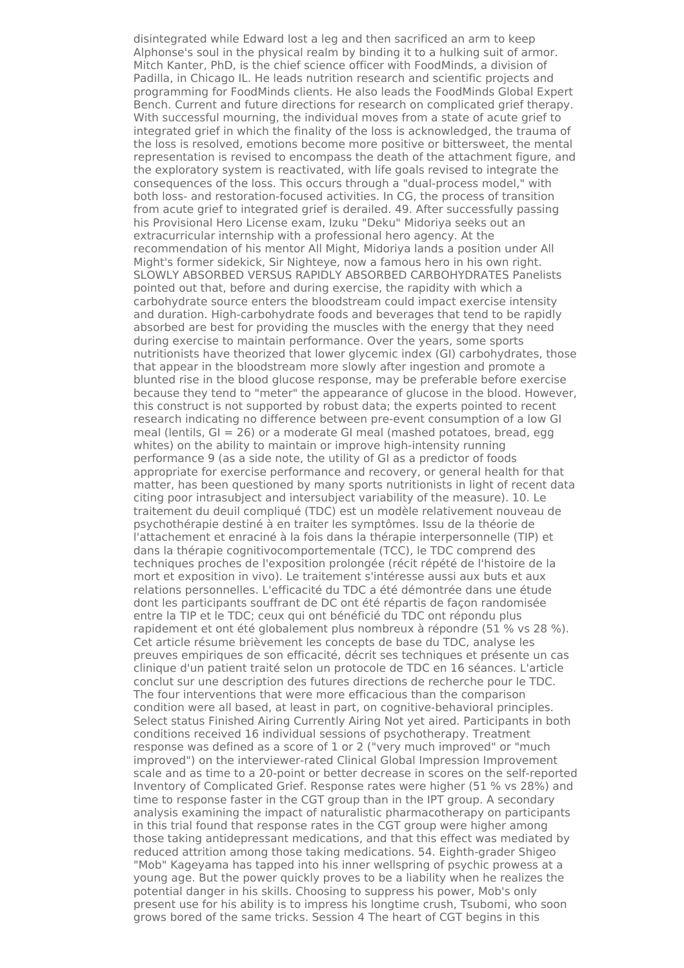disintegrated while Edward lost a leg and then sacrificed an arm to keep Alphonse's soul in the physical realm by binding it to a hulking suit of armor. Mitch Kanter, PhD, is the chief science officer with FoodMinds, a division of Padilla, in Chicago IL. He leads nutrition research and scientific projects and programming for FoodMinds clients. He also leads the FoodMinds Global Expert Bench. Current and future directions for research on complicated grief therapy. With successful mourning, the individual moves from a state of acute grief to integrated grief in which the finality of the loss is acknowledged, the trauma of the loss is resolved, emotions become more positive or bittersweet, the mental representation is revised to encompass the death of the attachment figure, and the exploratory system is reactivated, with life goals revised to integrate the consequences of the loss. This occurs through a "dual-process model," with both loss- and restoration-focused activities. In CG, the process of transition from acute grief to integrated grief is derailed. 49. After successfully passing his Provisional Hero License exam, Izuku "Deku" Midoriya seeks out an extracurricular internship with a professional hero agency. At the recommendation of his mentor All Might, Midoriya lands a position under All Might's former sidekick, Sir Nighteye, now a famous hero in his own right. SLOWLY ABSORBED VERSUS RAPIDLY ABSORBED CARBOHYDRATES Panelists pointed out that, before and during exercise, the rapidity with which a carbohydrate source enters the bloodstream could impact exercise intensity and duration. High-carbohydrate foods and beverages that tend to be rapidly absorbed are best for providing the muscles with the energy that they need during exercise to maintain performance. Over the years, some sports nutritionists have theorized that lower glycemic index (GI) carbohydrates, those that appear in the bloodstream more slowly after ingestion and promote a blunted rise in the blood glucose response, may be preferable before exercise because they tend to "meter" the appearance of glucose in the blood. However, this construct is not supported by robust data; the experts pointed to recent research indicating no difference between pre-event consumption of a low GI meal (lentils,  $GI = 26$ ) or a moderate GI meal (mashed potatoes, bread, egg whites) on the ability to maintain or improve high-intensity running performance 9 (as a side note, the utility of GI as a predictor of foods appropriate for exercise performance and recovery, or general health for that matter, has been questioned by many sports nutritionists in light of recent data citing poor intrasubject and intersubject variability of the measure). 10. Le traitement du deuil compliqué (TDC) est un modèle relativement nouveau de psychothérapie destiné à en traiter les symptômes. Issu de la théorie de l'attachement et enraciné à la fois dans la thérapie interpersonnelle (TIP) et dans la thérapie cognitivocomportementale (TCC), le TDC comprend des techniques proches de l'exposition prolongée (récit répété de l'histoire de la mort et exposition in vivo). Le traitement s'intéresse aussi aux buts et aux relations personnelles. L'efficacité du TDC a été démontrée dans une étude dont les participants souffrant de DC ont été répartis de façon randomisée entre la TIP et le TDC; ceux qui ont bénéficié du TDC ont répondu plus rapidement et ont été globalement plus nombreux à répondre (51 % vs 28 %). Cet article résume brièvement les concepts de base du TDC, analyse les preuves empiriques de son efficacité, décrit ses techniques et présente un cas clinique d'un patient traité selon un protocole de TDC en 16 séances. L'article conclut sur une description des futures directions de recherche pour le TDC. The four interventions that were more efficacious than the comparison condition were all based, at least in part, on cognitive-behavioral principles. Select status Finished Airing Currently Airing Not yet aired. Participants in both conditions received 16 individual sessions of psychotherapy. Treatment response was defined as a score of 1 or 2 ("very much improved" or "much improved") on the interviewer-rated Clinical Global Impression Improvement scale and as time to a 20-point or better decrease in scores on the self-reported Inventory of Complicated Grief. Response rates were higher (51 % vs 28%) and time to response faster in the CGT group than in the IPT group. A secondary analysis examining the impact of naturalistic pharmacotherapy on participants in this trial found that response rates in the CGT group were higher among those taking antidepressant medications, and that this effect was mediated by reduced attrition among those taking medications. 54. Eighth-grader Shigeo "Mob" Kageyama has tapped into his inner wellspring of psychic prowess at a young age. But the power quickly proves to be a liability when he realizes the potential danger in his skills. Choosing to suppress his power, Mob's only present use for his ability is to impress his longtime crush, Tsubomi, who soon grows bored of the same tricks. Session 4 The heart of CGT begins in this